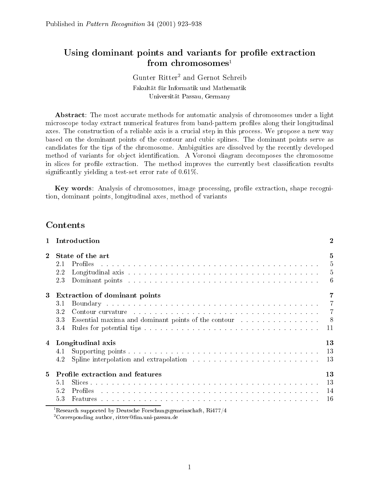# Using dominant points and variants for profile extraction from chromosomes<sup>1</sup>

# Gunter Ritter<sup>2</sup> and Gernot Schreib Fakultät für Informatik und Mathematik Universität Passau, Germany

Abstract: The most accurate methods for automatic analysis of chromosomes under a light microscope today extract numerical features from band-pattern profiles along their longitudinal axes. The construction of a reliable axis is a crucial step in this process. We propose a new way based on the dominant points of the contour and cubic splines. The dominant points serve as andidates for the tips of the hromosome. Ambiguities are dissolved by the re
ently developed method of variants for object identification. A Voronoi diagram decomposes the chromosome in slices for profile extraction. The method improves the currently best classification results significantly yielding a test-set error rate of 0.61%.

Key words: Analysis of chromosomes, image processing, profile extraction, shape recognition, dominant points, longitudinal axes, method of variants

| $\mathbf{1}$ | Introduction                                                                                                                                                                                                                                                                                                                                                                                                                                                                                                                                                                                                       | $\overline{2}$                                           |  |  |  |
|--------------|--------------------------------------------------------------------------------------------------------------------------------------------------------------------------------------------------------------------------------------------------------------------------------------------------------------------------------------------------------------------------------------------------------------------------------------------------------------------------------------------------------------------------------------------------------------------------------------------------------------------|----------------------------------------------------------|--|--|--|
| $\mathbf{2}$ | State of the art<br>Profiles<br>and a series of the contract of the contract of the contract of the contract of the contract of the contract of the contract of the contract of the contract of the contract of the contract of the contract of the contract o<br>2.1<br>2.2<br>Dominant points research is a conservative conservative conservative conservative conservative conservative conservative conservative conservative conservative conservative conservative conservative conservative conservati<br>2.3                                                                                              | 5<br>5<br>$\overline{5}$<br>6                            |  |  |  |
| 3            | Extraction of dominant points                                                                                                                                                                                                                                                                                                                                                                                                                                                                                                                                                                                      |                                                          |  |  |  |
|              | Boundary resources and contract the contract of the contract of the contract of the contract of the contract of the contract of the contract of the contract of the contract of the contract of the contract of the contract o<br>31<br>3.2<br>Contour curvature enterprise in the contract of the contract of the contract of the contract of the contract of the contract of the contract of the contract of the contract of the contract of the contract of the contract o<br>Essential maxima and dominant points of the contour enterstance enterstand maxima and dominant points of the contour<br>33<br>3.4 | $\overline{7}$<br>$\overline{7}$<br>8 <sup>8</sup><br>11 |  |  |  |
| 4            | Longitudinal axis                                                                                                                                                                                                                                                                                                                                                                                                                                                                                                                                                                                                  | 13                                                       |  |  |  |
|              | 41<br>Spline interpolation and extrapolation resources in the set of the set of the set of the set of the set of the set of the set of the set of the set of the set of the set of the set of the set of the set of the set of the s<br>4.2                                                                                                                                                                                                                                                                                                                                                                        | 13<br>13                                                 |  |  |  |
| 5            | Profile extraction and features                                                                                                                                                                                                                                                                                                                                                                                                                                                                                                                                                                                    | 13                                                       |  |  |  |
|              | 5.1<br>المتعاط والمتعاط والمتعاط والمتعاط والمتعاط والمتعاط والمتعاط والمتعاط والمتعاط والمتعاط والمتعاط والمتعاط والمتعاط<br>5.2<br>Profiles<br>5.3                                                                                                                                                                                                                                                                                                                                                                                                                                                               | 13<br>14<br>-16                                          |  |  |  |
|              | <sup>1</sup> Research supported by Deutsche Forschungsgemeinschaft, Ri477/4                                                                                                                                                                                                                                                                                                                                                                                                                                                                                                                                        |                                                          |  |  |  |

<sup>2</sup> Corresponding author, ritterm.uni-passau.de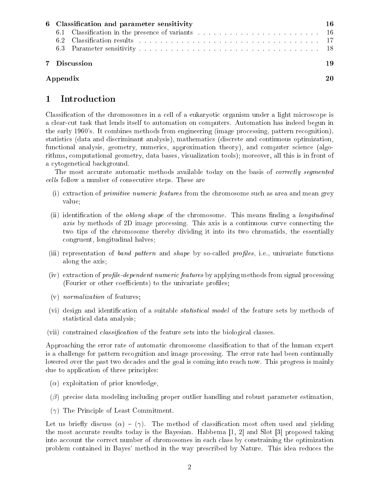| 6 Classification and parameter sensitivity |    |  |  |  |  |  |
|--------------------------------------------|----|--|--|--|--|--|
|                                            |    |  |  |  |  |  |
|                                            |    |  |  |  |  |  |
|                                            |    |  |  |  |  |  |
| 7 Discussion                               | 19 |  |  |  |  |  |
| Appendix                                   |    |  |  |  |  |  |

# Introduction  $\mathbf{1}$

Classification of the chromosomes in a cell of a eukaryotic organism under a light microscope is a learut task that lends itself to automation on omputers. Automation has indeed begun in the early 1960's. It ombines methods from engineering (image pro
essing, pattern re
ognition), statistics (data and discriminant analysis), mathematics (discrete and continuous optimization, functional analysis, geometry, numerics, approximation theory), and computer science (algorithms, omputational geometry, data bases, visualization tools); moreover, all this is in front of a cytogenetical background.

The most accurate automatic methods available today on the basis of *correctly segmented* cells follow a number of consecutive steps. These are

- (i) extraction of *primitive numeric features* from the chromosome such as area and mean grey value;
- (ii) identification of the *oblong shape* of the chromosome. This means finding a *longitudinal* axis by methods of 2D image processing. This axis is a continuous curve connecting the two tips of the hromosome thereby dividing it into its two hromatids, the essentially ongruent, longitudinal halves;
- (iii) representation of band pattern and shape by so-called profiles, i.e., univariate functions along the axis;
- (iv) extraction of *profile-dependent numeric features* by applying methods from signal processing (Fourier or other coefficients) to the univariate profiles;
- (v) normalization of features;
- (vi) design and identification of a suitable *statistical model* of the feature sets by methods of statisti
al data analysis;
- (vii) constrained *classification* of the feature sets into the biological classes.

Approaching the error rate of automatic chromosome classification to that of the human expert is a hallenge for pattern re
ognition and image pro
essing. The error rate had been ontinually lowered over the past two decades and the goal is coming into reach now. This progress is mainly due to application of three principles:

- $(\alpha)$  exploitation of prior knowledge,
- $(\beta)$  precise data modeling including proper outlier handling and robust parameter estimation,
- $(\gamma)$  The Principle of Least Commitment.

Let us briefly discuss  $(\alpha) - (\gamma)$ . The method of classification most often used and yielding the most accurate results today is the Bayesian. Habbema  $[1, 2]$  and Slot  $[3]$  proposed taking into account the correct number of chromosomes in each class by constraining the optimization problem ontained in Bayes' method in the way pres
ribed by Nature. This idea redu
es the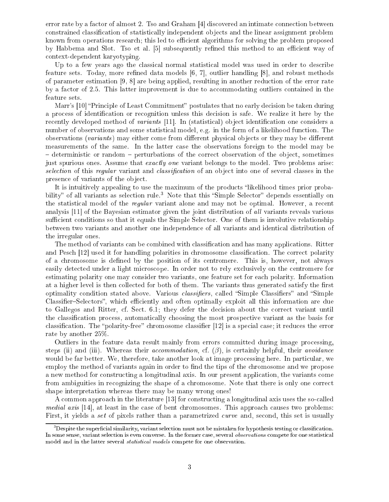error rate by a factor of almost 2. Tso and Graham  $[4]$  discovered an intimate connection between constrained classification of statistically independent objects and the linear assignment problem known from operations research; this led to efficient algorithms for solving the problem proposed by Habbema and Slot. Tso et al. [5] subsequently refined this method to an efficient way of ontext-dependent karyotyping.

Up to a few years ago the classical normal statistical model was used in order to describe feature sets. Today, more refined data models  $[6, 7]$ , outlier handling  $[8]$ , and robust methods of parameter estimation  $[9, 8]$  are being applied, resulting in another reduction of the error rate by a factor of 2.5. This latter improvement is due to accommodating outliers contained in the feature sets.

Marr's [10] "Principle of Least Commitment" postulates that no early decision be taken during a process of identification or recognition unless this decision is safe. We realize it here by the recently developed method of *variants* [11]. In (statistical) object identification one considers a number of observations and some statistical model, e.g. in the form of a likelihood function. The observations (variants) may either come from different physical objects or they may be different measurements of the same. In the latter ase the observations foreign to the model may be – deterministic or random – perturbations of the correct observation of the object, sometimes just spurious ones. Assume that *exactly one* variant belongs to the model. Two problems arise: selection of this regular variant and *classification* of an object into one of several classes in the presence of variants of the object.

It is intuitively appealing to use the maximum of the products "likelihood times prior probability" of all variants as selection rule.<sup>3</sup> Note that this "Simple Selector" depends essentially on the statistical model of the *regular* variant alone and may not be optimal. However, a recent analysis  $[11]$  of the Bayesian estimator given the joint distribution of all variants reveals various sufficient conditions so that it equals the Simple Selector. One of them is involutive relationship between two variants and another one independen
e of all variants and identi
al distribution of the irregular ones.

The method of variants can be combined with classification and has many applications. Ritter and Pesch [12] used it for handling polarities in chromosome classification. The correct polarity of a chromosome is defined by the position of its centromere. This is, however, not always easily detected under a light microscope. In order not to rely exclusively on the centromere for estimating polarity one may onsider two variants, one feature set for ea
h polarity. Information at a higher level is then collected for both of them. The variants thus generated satisfy the first optimality condition stated above. Various *classifiers*, called "Simple Classifiers" and "Simple Classifier–Selectors", which efficiently and often optimally exploit all this information are due to Gallegos and Ritter, cf. Sect. 6.1; they defer the decision about the correct variant until the classification process, automatically choosing the most prospective variant as the basis for classification. The "polarity-free" chromosome classifier [12] is a special case; it reduces the error rate by another 25%.

Outliers in the feature data result mainly from errors ommitted during image pro
essing, steps (ii) and (iii). Whereas their *accommodation*, cf.  $(\beta)$ , is certainly helpful, their *avoidance* would be far better. We, therefore, take another look at image processing here. In particular, we employ the method of variants again in order to find the tips of the chromosome and we propose a new method for constructing a longitudinal axis. In our present application, the variants come from ambiguities in recognizing the shape of a chromosome. Note that there is only one correct shape interpretation whereas there may be many wrong ones!

A common approach in the literature [13] for constructing a longitudinal axis uses the so-called medial axis  $[14]$ , at least in the case of bent chromosomes. This approach causes two problems: First, it yields a set of pixels rather than a parametrized curve and, second, this set is usually

Despite the superficial similarity, variant selection must not be mistaken for hypothesis testing or classification. om some sense, variantes selections is even competence and converse. In the former statistic statistic service model and in the latter several statisti
al models ompete for one observation.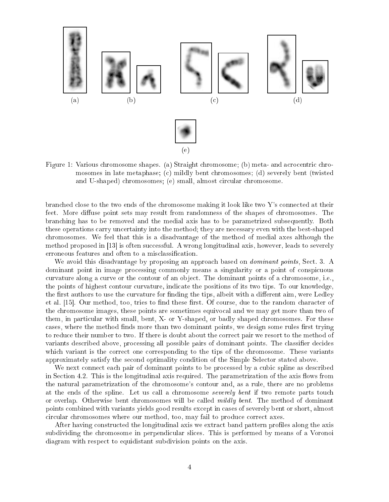

Figure 1: Various chromosome shapes. (a) Straight chromosome; (b) meta- and acrocentric chromosomes in late metaphase; (c) mildly bent chromosomes; (d) severely bent (twisted and U-shaped) chromosomes; (e) small, almost circular chromosome.

branched close to the two ends of the chromosome making it look like two Y's connected at their feet. More diffuse point sets may result from randomness of the shapes of chromosomes. The bran
hing has to be removed and the medial axis has to be parametrized subsequently. Both these operations arry un
ertainty into the method; they are ne
essary even with the best-shaped hromosomes. We feel that this is a disadvantage of the method of medial axes although the method proposed in  $\vert 13 \vert$  is often successful. A wrong longitudinal axis, however, leads to severely erroneous features and often to a misclassification.

We avoid this disadvantage by proposing an approach based on *dominant points*, Sect. 3. A dominant point in image processing commonly means a singularity or a point of conspicuous curvature along a curve or the contour of an object. The dominant points of a chromosome, i.e., the points of highest ontour urvature, indi
ate the positions of its two tips. To our knowledge, the first authors to use the curvature for finding the tips, albeit with a different aim, were Ledley et al. [15]. Our method, too, tries to find these first. Of course, due to the random character of the hromosome images, these points are sometimes equivo
al and we may get more than two of them, in particular with small, bent, X- or Y-shaped, or badly shaped chromosomes. For these cases, where the method finds more than two dominant points, we design some rules first trying to reduce their number to two. If there is doubt about the correct pair we resort to the method of variants described above, processing all possible pairs of dominant points. The classifier decides which variant is the correct one corresponding to the tips of the chromosome. These variants approximately satisfy the se
ond optimality ondition of the Simple Sele
tor stated above.

We next connect each pair of dominant points to be processed by a cubic spline as described in Section 4.2. This is the longitudinal axis required. The parametrization of the axis flows from the natural parametrization of the hromosome's ontour and, as a rule, there are no problems at the ends of the spline. Let us call a chromosome *severely bent* if two remote parts touch or overlap. Otherwise bent chromosomes will be called *mildly bent*. The method of dominant points ombined with variants yields good results ex
ept in ases of severely bent or short, almost circular chromosomes where our method, too, may fail to produce correct axes.

After having constructed the longitudinal axis we extract band pattern profiles along the axis subdividing the chromosome in perpendicular slices. This is performed by means of a Voronoi diagram with respe
t to equidistant subdivision points on the axis.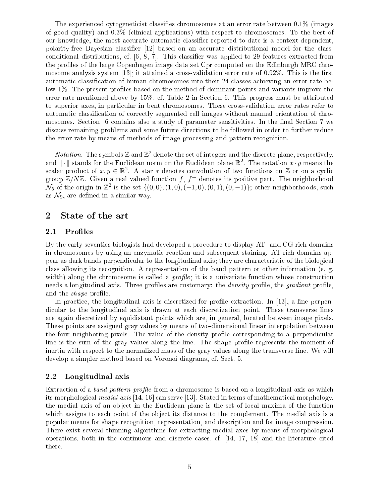The experienced cytogeneticist classifies chromosomes at an error rate between 0.1% (images of good quality) and 0.3% (
lini
al appli
ations) with respe
t to hromosomes. To the best of our knowledge, the most accurate automatic classifier reported to date is a context-dependent, polarity-free Bayesian classifier [12] based on an accurate distributional model for the classconditional distributions, cf.  $[6, 8, 7]$ . This classifier was applied to 29 features extracted from the profiles of the large Copenhagen image data set Cpr computed on the Edinburgh MRC chromosome analysis system  $[13]$ ; it attained a cross-validation error rate of 0.92%. This is the first automatic classification of human chromosomes into their 24 classes achieving an error rate below 1%. The present profiles based on the method of dominant points and variants improve the error rate mentioned above by 15%, cf. Table 2 in Section 6. This progress must be attributed to superior axes, in particular in bent chromosomes. These cross-validation error rates refer to automatic classification of correctly segmented cell images without manual orientation of chromosomes. Section 6 contains also a study of parameter sensitivities. In the final Section 7 we discuss remaining problems and some future directions to be followed in order to further reduce the error rate by means of methods of image pro
essing and pattern re
ognition.

*Notation*. The symbols  $\mathbb{Z}$  and  $\mathbb{Z}^2$  denote the set of integers and the discrete plane, respectively, and  $\|\cdot\|$  stands for the Euclidean norm on the Euclidean plane  $\mathbb{R}^2$ . The notation  $x \cdot y$  means the scalar product of  $x, y \in \mathbb{R}^2$ . A star \* denotes convolution of two functions on Z or on a cyclic group  $\mathbb{Z}/N\mathbb{Z}$ . Given a real valued function  $f, f^+$  denotes its positive part. The neighborhood  $\mathcal{N}_5$  of the origin in  $\mathbb{Z}^2$  is the set  $\{(0,0),(1,0),(-1,0),(0,1),(0,-1)\};$  other neighborhoods, such as  $\mathcal{N}_9$ , are defined in a similar way.

# 2 State of the art

### 2.1Profiles

By the early seventies biologists had developed a pro
edure to display AT- and CG-ri
h domains in chromosomes by using an enzymatic reaction and subsequent staining. AT-rich domains appear as dark bands perpendicular to the longitudinal axis; they are characteristic of the biological lass allowing its re
ognition. A representation of the band pattern or other information (e. g. width) along the chromosome is called a *profile*; it is a univariate function whose construction needs a longitudinal axis. Three profiles are customary: the *density* profile, the *gradient* profile, and the *shape* profile.

In practice, the longitudinal axis is discretized for profile extraction. In [13], a line perpendicular to the longitudinal axis is drawn at each discretization point. These transverse lines are again dis
retized by equidistant points whi
h are, in general, lo
ated between image pixels. These points are assigned gray values by means of two-dimensional linear interpolation between the four neighboring pixels. The value of the density profile corresponding to a perpendicular line is the sum of the gray values along the line. The shape profile represents the moment of inertia with respe
t to the normalized mass of the gray values along the transverse line. We will develop a simpler method based on Voronoi diagrams, f. Se
t. 5.

# 2.2Longitudinal axis

Extraction of a *band-pattern profile* from a chromosome is based on a longitudinal axis as which its morphological *medial axis* [14, 16] can serve [13]. Stated in terms of mathematical morphology, the medial axis of an object in the Euclidean plane is the set of local maxima of the function which assigns to each point of the object its distance to the complement. The medial axis is a popular means for shape re
ognition, representation, and des
ription and for image ompression. There exist several thinning algorithms for extracting medial axes by means of morphological operations, both in the continuous and discrete cases, cf.  $[14, 17, 18]$  and the literature cited there.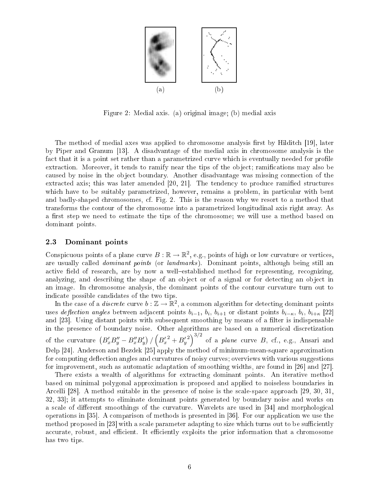

Figure 2: Medial axis. (a) original image; (b) medial axis

The method of medial axes was applied to chromosome analysis first by Hilditch [19], later by Piper and Granum [13]. A disadvantage of the medial axis in chromosome analysis is the fact that it is a point set rather than a parametrized curve which is eventually needed for profile extraction. Moreover, it tends to ramify near the tips of the object; ramifications may also be caused by noise in the object boundary. Another disadvantage was missing connection of the extracted axis; this was later amended  $[20, 21]$ . The tendency to produce ramified structures which have to be suitably parametrized, however, remains a problem, in particular with bent and badly-shaped chromosomes, cf. Fig. 2. This is the reason why we resort to a method that transforms the ontour of the hromosome into a parametrized longitudinal axis right away. As a first step we need to estimate the tips of the chromosome; we will use a method based on dominant points.

### 2.3Dominant points

Conspicuous points of a plane curve  $B: \mathbb{R} \to \mathbb{R}^2$ , e.g., points of high or low curvature or vertices, are usually called *dominant points* (or *landmarks*). Dominant points, although being still an active field of research, are by now a well-established method for representing, recognizing, analyzing, and describing the shape of an object or of a signal or for detecting an object in an image. In chromosome analysis, the dominant points of the contour curvature turn out to indi
ate possible andidates of the two tips.

In the case of a *discrete* curve  $b: \mathbb{Z} \to \mathbb{R}^2$ , a common algorithm for detecting dominant points uses deflection angles between adjacent points  $b_{i-1}, b_i, b_{i+1}$  or distant points  $b_{i-\kappa}, b_i, b_{i+\kappa}$  [22] and  $[23]$ . Using distant points with subsequent smoothing by means of a filter is indispensable in the presence of boundary noise. Other algorithms are based on a numerical discretization of the curvature  $\left(B'_xB''_y - B''_xB'_y\right)/\left(B'_x{}^2 + B'_y{}^2\right)^{3/2}$  of a *plane* curve  $B$ , cf., e.g., Ansari and Delp  $[24]$ . Anderson and Bezdek  $[25]$  apply the method of minimum-mean-square approximation for computing deflection angles and curvatures of noisy curves; overviews with various suggestions for improvement, such as automatic adaptation of smoothing widths, are found in [26] and [27].

There exists a wealth of algorithms for extracting dominant points. An iterative method based on minimal polygonal approximation is proposed and applied to noiseless boundaries in Arcelli [28]. A method suitable in the presence of noise is the scale-space approach  $[29, 30, 31]$ .  $32, 33$ ; it attempts to eliminate dominant points generated by boundary noise and works on a scale of different smoothings of the curvature. Wavelets are used in [34] and morphological operations in [35]. A comparison of methods is presented in [36]. For our application we use the method proposed in  $[23]$  with a scale parameter adapting to size which turns out to be sufficiently accurate, robust, and efficient. It efficiently exploits the prior information that a chromosome has two tips.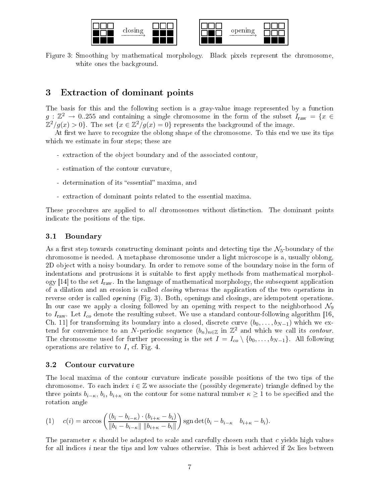

Figure 3: Smoothing by mathematical morphology. Black pixels represent the chromosome, white ones the background.

# 3 Extra
tion of dominant points

The basis for this and the following section is a gray-value image represented by a function  $g: \mathbb{Z}^2 \to 0.255$  and containing a single chromosome in the form of the subset  $I_{\text{raw}} = \{x \in$  $\mathbb{Z}^2/g(x) > 0$ . The set  $\{x \in \mathbb{Z}^2/g(x) = 0\}$  represents the background of the image.

At first we have to recognize the oblong shape of the chromosome. To this end we use its tips which we estimate in four steps; these are

- extraction of the object boundary and of the associated contour,
- estimation of the ontour urvature,
- determination of its "essential" maxima, and
- extra
tion of dominant points related to the essential maxima.

These procedures are applied to all chromosomes without distinction. The dominant points indi
ate the positions of the tips.

### 3.1Boundary

As a first step towards constructing dominant points and detecting tips the  $\mathcal{N}_5$ -boundary of the hromosome is needed. A metaphase hromosome under a light mi
ros
ope is a, usually oblong, 2D ob je
t with a noisy boundary. In order to remove some of the boundary noise in the form of indentations and protrusions it is suitable to first apply methods from mathematical morphology [14] to the set  $I_{\text{raw}}$ . In the language of mathematical morphology, the subsequent application of a dilation and an erosion is called *closing* whereas the application of the two operations in reverse order is called *opening* (Fig. 3). Both, openings and closings, are idempotent operations. In our case we apply a closing followed by an opening with respect to the neighborhood  $\mathcal{N}_9$ to  $I_{\text{raw}}$ . Let  $I_{co}$  denote the resulting subset. We use a standard contour-following algorithm [16, Ch. 11 for transforming its boundary into a closed, discrete curve  $(b_0, \ldots, b_{N-1})$  which we extend for convenience to an N-periodic sequence  $(b_n)_{n\in\mathbb{Z}}$  in  $\mathbb{Z}^2$  and which we call its contour. The chromosome used for further processing is the set  $I = I_{co} \setminus \{b_0, \ldots, b_{N-1}\}\$ . All following operations are relative to  $I$ , cf. Fig. 4.

### 3.2Contour urvature

The local maxima of the contour curvature indicate possible positions of the two tips of the chromosome. To each index  $i \in \mathbb{Z}$  we associate the (possibly degenerate) triangle defined by the three points  $b_{i-k}$ ,  $b_i$ ,  $b_{i+k}$  on the contour for some natural number  $\kappa \ge 1$  to be specified and the rotation angle

$$
(1) \quad c(i) = \arccos\left(\frac{(b_i - b_{i-\kappa}) \cdot (b_{i+\kappa} - b_i)}{\|b_i - b_{i-\kappa}\| \|b_{i+\kappa} - b_i\|}\right) \operatorname{sgn} \det(b_i - b_{i-\kappa} \quad b_{i+\kappa} - b_i).
$$

The parameter  $\kappa$  should be adapted to scale and carefully chosen such that c yields high values for all indices i near the tips and low values otherwise. This is best achieved if  $2\kappa$  lies between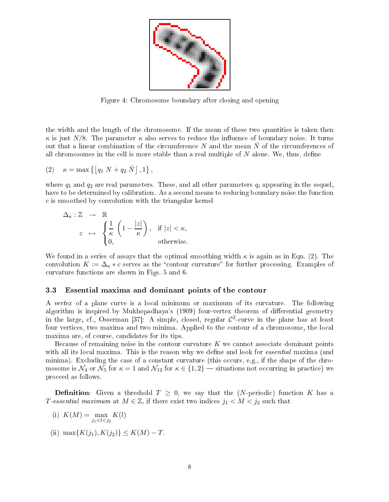

Figure 4: Chromosome boundary after losing and opening

the width and the length of the hromosome. If the mean of these two quantities is taken then  $\kappa$  is just N/8. The parameter  $\kappa$  also serves to reduce the influence of boundary noise. It turns out that a linear combination of the circumference N and the mean  $\overline{N}$  of the circumferences of all chromosomes in the cell is more stable than a real multiple of  $N$  alone. We, thus, define

$$
(2) \quad \kappa = \max\left\{ \left\lfloor q_1 N + q_2 \bar{N} \right\rfloor, 1 \right\},\,
$$

where  $q_1$  and  $q_2$  are real parameters. These, and all other parameters  $q_i$  appearing in the sequel, have to be determined by calibration. As a second means to reducing boundary noise the function c is smoothed by onvolution with the triangular kernel

$$
\Delta_{\kappa} : \mathbb{Z} \longrightarrow \mathbb{R}
$$
  

$$
z \mapsto \begin{cases} \frac{1}{\kappa} \left( 1 - \frac{|z|}{\kappa} \right), & \text{if } |z| < \kappa, \\ 0, & \text{otherwise.} \end{cases}
$$

We found in a series of assays that the optimal smoothing width  $\kappa$  is again as in Eqn. (2). The convolution  $K := \Delta_{\kappa} * c$  serves as the "contour curvature" for further processing. Examples of urvature fun
tions are shown in Figs. 5 and 6.

### 3.3Essential maxima and dominant points of the contour

A vertex of a plane curve is a local minimum or maximum of its curvature. The following algorithm is inspired by Mukhopadhaya's (1909) four-vertex theorem of differential geometry in the large, cf., Osserman [37]: A simple, closed, regular  $\mathcal{C}^2$ -curve in the plane has at least four vertices, two maxima and two minima. Applied to the contour of a chromosome, the local maxima are, of course, candidates for its tips.

Because of remaining noise in the contour curvature  $K$  we cannot associate dominant points with all its local maxima. This is the reason why we define and look for *essential* maxima (and minima). Excluding the case of a constant curvature (this occurs, e.g., if the shape of the chromosome is  $\mathcal{N}_4$  or  $\mathcal{N}_5$  for  $\kappa = 1$  and  $\mathcal{N}_{12}$  for  $\kappa \in \{1,2\}$  — situations not occurring in practice) we pro
eed as follows.

**Definition**: Given a threshold  $T \geq 0$ , we say that the (N-periodic) function K has a T-essential maximum at  $M \in \mathbb{Z}$ , if there exist two indices  $j_1 < M < j_2$  such that

- (i)  $K(M) = \max_{j_1 < l < j_2} K(l)$
- (ii) max{ $K(j_1), K(j_2)$ }  $\leq K(M) T$ .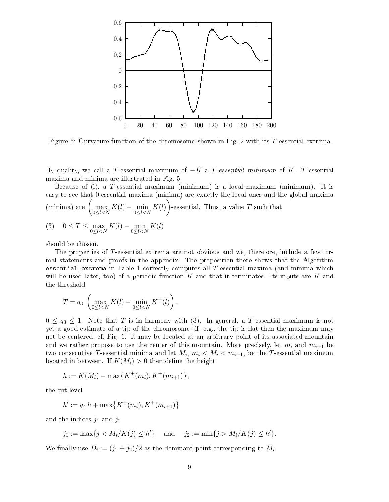

Figure 5: Curvature function of the chromosome shown in Fig. 2 with its T-essential extrema

By duality, we call a T-essential maximum of  $-K$  a T-essential minimum of K. T-essential maxima and minima are illustrated in Fig. 5.

Because of (i), a T-essential maximum (minimum) is a local maximum (minimum). It is easy to see that 0-essential maxima (minima) are exactly the local ones and the global maxima (minima) are  $\left(\max_{0 \leq l < N} K(l) - \min_{0 \leq l < N} K(l)\right)$ -essential. Thus, a value T such that (3)  $0 \le T \le \max_{0 \le l < N} K(l) - \min_{0 \le l < N} K(l)$ 

should be hosen.

The properties of T-essential extrema are not obvious and we, therefore, include a few formal statements and proofs in the appendix. The proposition there shows that the Algorithm essential\_extrema in Table 1 correctly computes all  $T$ -essential maxima (and minima which will be used later, too) of a periodic function  $K$  and that it terminates. Its inputs are  $K$  and the threshold

$$
T = q_3 \left( \max_{0 \le l < N} K(l) - \min_{0 \le l < N} K^+(l) \right),
$$

 $0 \leq q_3 \leq 1$ . Note that T is in harmony with (3). In general, a T-essential maximum is not yet a good estimate of a tip of the chromosome; if, e.g., the tip is flat then the maximum may not be centered, cf. Fig. 6. It may be located at an arbitrary point of its associated mountain and we rather propose to use the center of this mountain. More precisely, let  $m_i$  and  $m_{i+1}$  be two consecutive T-essential minima and let  $M_i$ ,  $m_i < M_i < m_{i+1}$ , be the T-essential maximum located in between. If  $K(M_i) > 0$  then define the height

$$
h := K(M_i) - \max\{K^+(m_i), K^+(m_{i+1})\},\
$$

the cut level

$$
h' := q_4 h + \max\{K^+(m_i), K^+(m_{i+1})\}
$$

and the indices  $j_1$  and  $j_2$ 

$$
j_1 := \max\{j < M_i/K(j) \le h'\}
$$
 and  $j_2 := \min\{j > M_i/K(j) \le h'\}.$ 

We finally use  $D_i := (j_1 + j_2)/2$  as the dominant point corresponding to  $M_i$ .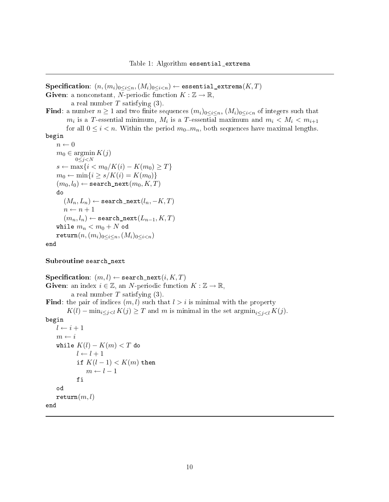Specification:  $(n, (m_i)_{0 \leq i \leq n}, (M_i)_{0 \leq i \leq n}) \leftarrow$  essential\_extrema $(K, T)$ 

**Given**: a nonconstant, N-periodic function  $K : \mathbb{Z} \to \mathbb{R}$ ,

a real number  $T$  satisfying  $(3)$ .

Find: a number  $n \geq 1$  and two finite sequences  $(m_i)_{0 \leq i \leq n}$ ,  $(M_i)_{0 \leq i \leq n}$  of integers such that  $m_i$  is a T-essential minimum,  $M_i$  is a T-essential maximum and  $m_i < M_i < m_{i+1}$ for all  $0 \leq i \leq n$ . Within the period  $m_0 \, m_n$ , both sequences have maximal lengths. begin

```
n \leftarrow 0m_0 \in \operatorname{argmin} K(j)0 \leq j \leq Ns ← max{i < m_0/K(i) - K(m_0) \ge T}m_0 \leftarrow \min\{i \ge s/K(i) = K(m_0)\}(m_0, l_0) \leftarrow search_next(m_0, K, T)do(M_n, L_n) \leftarrow search_next(l_n, -K, T)n \leftarrow n + 1(m_n, l_n) \leftarrow search_next(L_{n-1}, K, T)while m_n < m_0 + N od
    return(n,(m_i)_{0\leq i\leq n},(M_i)_{0\leq i<n})end
```
Subroutine search\_next

Specification:  $(m, l) \leftarrow$  search\_next $(i, K, T)$ **Given:** an index  $i \in \mathbb{Z}$ , an N-periodic function  $K : \mathbb{Z} \to \mathbb{R}$ , a real number  $T$  satisfying  $(3)$ . Find: the pair of indices  $(m, l)$  such that  $l > i$  is minimal with the property  $K(l) - \min_{i \leq j \leq l} K(j) \geq T$  and m is minimal in the set  $\operatorname{argmin}_{i \leq j \leq l} K(j)$ .  $\mathbf{f}$  $l \leftarrow i + 1$  $m \leftarrow i$ while  $K(l)-K(m)< T$  do  $l \leftarrow l + 1$ if  $K(l-1) < K(m)$  then  $m \leftarrow l - 1$ fiod  $return(m, l)$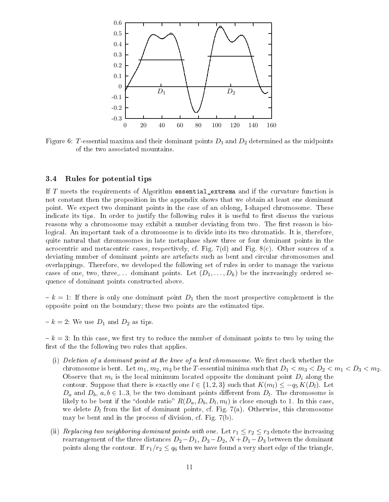

Figure 6: T-essential maxima and their dominant points  $D_1$  and  $D_2$  determined as the midpoints of the two asso
iated mountains.

### 3.4Rules for potential tips

If T meets the requirements of Algorithm essential\_extrema and if the curvature function is not onstant then the proposition in the appendix shows that we obtain at least one dominant point. We expe
t two dominant points in the ase of an oblong, I-shaped hromosome. These indicate its tips. In order to justify the following rules it is useful to first discuss the various reasons why a chromosome may exhibit a number deviating from two. The first reason is biological. An important task of a chromosome is to divide into its two chromatids. It is, therefore, quite natural that hromosomes in late metaphase show three or four dominant points in the acrocentric and metacentric cases, respectively, cf. Fig.  $7(d)$  and Fig.  $8(c)$ . Other sources of a deviating number of dominant points are artefacts such as bent and circular chromosomes and overlappings. Therefore, we developed the following set of rules in order to manage the various cases of one, two, three,... dominant points. Let  $(D_1, \ldots, D_k)$  be the increasingly ordered sequen
e of dominant points onstru
ted above.

 $k - k = 1$ : If there is only one dominant point  $D_1$  then the most prospective complement is the opposite point on the boundary; these two points are the estimated tips.

 $k = 2$ : We use  $D_1$  and  $D_2$  as tips.

 $k - k = 3$ : In this case, we first try to reduce the number of dominant points to two by using the first of the the following two rules that applies.

- (i) Deletion of a dominant point at the knee of a bent chromosome. We first check whether the chromosome is bent. Let  $m_1, m_2, m_3$  be the T-essential minima such that  $D_1 < m_3 < D_2 < m_1 < D_3 < m_2$ . Observe that  $m_i$  is the local minimum located opposite the dominant point  $D_i$  along the contour. Suppose that there is exactly one  $l \in \{1, 2, 3\}$  such that  $K(m_l) \le -q_5 K(D_l)$ . Let  $D_a$  and  $D_b$ ,  $a, b \in 1..3$ , be the two dominant points different from  $D_l$ . The chromosome is likely to be bent if the "double ratio"  $R(D_a, D_b, D_l, m_l)$  is close enough to 1. In this case, we delete  $D_l$  from the list of dominant points, cf. Fig. 7(a). Otherwise, this chromosome may be bent and in the pro
ess of division, f. Fig. 7(b).
- (ii) Replacing two neighboring dominant points with one. Let  $r_1 \leq r_2 \leq r_3$  denote the increasing rearrangement of the three distances  $D_2-D_1$ ,  $D_3-D_2$ ,  $N+D_1-D_3$  between the dominant points along the contour. If  $r_1/r_2 \leq q_6$  then we have found a very short edge of the triangle,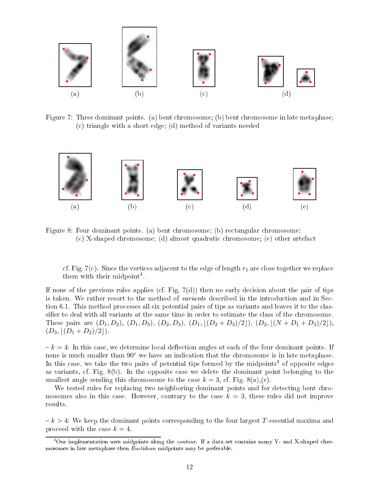

Figure 7: Three dominant points. (a) bent chromosome; (b) bent chromosome in late metaphase; (
) triangle with a short edge; (d) method of variants needed



Figure 8: Four dominant points. (a) bent chromosome; (b) rectangular chromosome; (
) X-shaped hromosome; (d) almost quadrati hromosome; (e) other artefa
t

cf. Fig. 7(c). Since the vertices adjacent to the edge of length  $r_1$  are close together we replace them with their midpoint<sup>4</sup>.

If none of the previous rules applies (cf. Fig.  $7(d)$ ) then no early decision about the pair of tips is taken. We rather resort to the method of *variants* described in the introduction and in Section 6.1. This method processes all six potential pairs of tips as variants and leaves it to the classifier to deal with all variants at the same time in order to estimate the class of the chromosome. These pairs are  $(D_1, D_2)$ ,  $(D_1, D_3)$ ,  $(D_2, D_3)$ ,  $(D_1, \lfloor (D_2 + D_3)/2 \rfloor)$ ,  $(D_2, \lfloor (N + D_1 + D_3)/2 \rfloor)$ ,  $(D_3, |(D_1 + D_2)/2|).$ 

 $k = 4$ : In this case, we determine local deflection angles at each of the four dominant points. If none is much smaller than  $90^{\circ}$  we have an indication that the chromosome is in late metaphase. In this case, we take the two pairs of potential tips formed by the midpoints<sup>4</sup> of opposite edges as variants, f. Fig. 8(b). In the opposite ase we delete the dominant point belonging to the smallest angle sending this chromosome to the case  $k = 3$ , cf. Fig. 8(a),(e).

We tested rules for replacing two neighboring dominant points and for detecting bent chromosomes also in this case. However, contrary to the case  $k = 3$ , these rules did not improve results.

 $k > 4$ : We keep the dominant points corresponding to the four largest T-essential maxima and proceed with the case  $k = 4$ .

<sup>&</sup>quot;Our implementation uses midpoints along the *contour*. If a data set contains many  $Y$ - and  $X$ -shaped chromosomes in late metaphase then Eu
lidean midpoints may be preferable.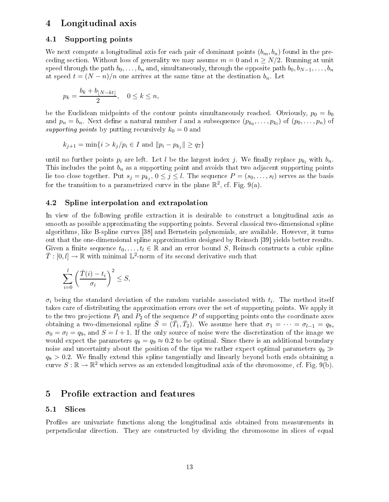# Longitudinal axis 4

# 4.1Supporting points

We next compute a longitudinal axis for each pair of dominant points  $(b_m, b_n)$  found in the preceding section. Without loss of generality we may assume  $m = 0$  and  $n \ge N/2$ . Running at unit speed through the path  $b_0, \ldots, b_n$  and, simultaneously, through the opposite path  $b_0, b_{N-1}, \ldots, b_n$ at speed  $t = (N - n)/n$  one arrives at the same time at the destination  $b_n$ . Let

$$
p_k = \frac{b_k + b_{\lfloor N - kt \rfloor}}{2}, \quad 0 \le k \le n,
$$

be the Euclidean midpoints of the contour points simultaneously reached. Obviously,  $p_0 = b_0$ and  $p_n = b_n$ . Next define a natural number l and a subsequence  $(p_{k_0}, \ldots, p_{k_l})$  of  $(p_0, \ldots, p_n)$  of supporting points by putting recursively  $k_0 = 0$  and

$$
k_{j+1} = \min\{i > k_j/p_i \in I \text{ and } ||p_i - p_{k_j}|| \geq q_7\}
$$

until no further points  $p_i$  are left. Let l be the largest index j. We finally replace  $p_{k_l}$  with  $b_n$ . This includes the point  $b_n$  as a supporting point and avoids that two adjacent supporting points lie too close together. Put  $s_j = p_{k_j},\, 0 \le j \le l$ . The sequence  $P = (s_0, \ldots, s_l)$  serves as the basis for the transition to a parametrized curve in the plane  $\mathbb{R}^2$ , cf. Fig. 9(a).

# 4.2Spline interpolation and extrapolation

In view of the following profile extraction it is desirable to construct a longitudinal axis as smooth as possible approximating the supporting points. Several classical two-dimensional spline algorithms, like B-spline curves [38] and Bernstein polynomials, are available. However, it turns out that the one-dimensional spline approximation designed by Reinsch [39] yields better results. Given a finite sequence  $t_0, \ldots, t_l \in \mathbb{R}$  and an error bound S, Reinsch constructs a cubic spline  $\bar{T}:[0,l]\to\mathbb{R}$  with minimal  $\mathbb{L}^2$ -norm of its second derivative such that

$$
\sum_{i=0}^{l} \left( \frac{\bar{T}(i) - t_i}{\sigma_i} \right)^2 \le S,
$$

 $\sigma_i$  being the standard deviation of the random variable associated with  $t_i$ . The method itself takes are of distributing the approximation errors over the set of supporting points. We apply it to the two projections  $P_1$  and  $P_2$  of the sequence P of supporting points onto the coordinate axes obtaining a two-dimensional spline  $\bar{S} = (\bar{T}_1, \bar{T}_2)$ . We assume here that  $\sigma_1 = \cdots = \sigma_{l-1} = q_8$ ,  $\sigma_0 = \sigma_l = q_9$ , and  $S = l + 1$ . If the only source of noise were the discretization of the image we would expect the parameters  $q_8 = q_9 \approx 0.2$  to be optimal. Since there is an additional boundary noise and uncertainty about the position of the tips we rather expect optimal parameters  $q_9 \gg$  $q_8 > 0.2$ . We finally extend this spline tangentially and linearly beyond both ends obtaining a curve  $S : \mathbb{R} \to \mathbb{R}^2$  which serves as an extended longitudinal axis of the chromosome, cf. Fig. 9(b).

# 5 Profile extraction and features

# 5.1Sli
es

Profiles are univariate functions along the longitudinal axis obtained from measurements in perpendi
ular dire
tion. They are onstru
ted by dividing the hromosome in sli
es of equal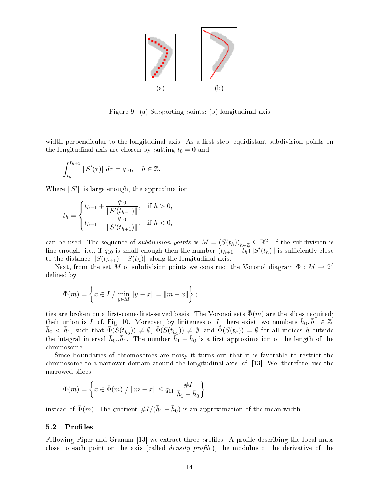

Figure 9: (a) Supporting points; (b) longitudinal axis

width perpendicular to the longitudinal axis. As a first step, equidistant subdivision points on the longitudinal axis are chosen by putting  $t_0 = 0$  and

$$
\int_{t_h}^{t_{h+1}} \|S'(\tau)\| d\tau = q_{10}, \quad h \in \mathbb{Z}.
$$

Where  $\|S'\|$  is large enough, the approximation

$$
t_h = \begin{cases} t_{h-1} + \frac{q_{10}}{\|S'(t_{h-1})\|}, & \text{if } h > 0, \\ t_{h+1} - \frac{q_{10}}{\|S'(t_{h+1})\|}, & \text{if } h < 0, \end{cases}
$$

can be used. The sequence of *subdivision points* is  $M = (S(t_h))_{h \in \mathbb{Z}} \subseteq \mathbb{R}^2$ . If the subdivision is fine enough, i.e., if  $q_{10}$  is small enough then the number  $(t_{h+1} - t_h) \| S'(t_h) \|$  is sufficiently close to the distance  $||S(t_{h+1}) - S(t_h)||$  along the longitudinal axis.

Next, from the set M of subdivision points we construct the Voronoi diagram  $\bar{\Phi}: M \to 2^I$ defined by

$$
\bar{\Phi}(m) = \left\{ x \in I / \min_{y \in M} ||y - x|| = ||m - x|| \right\};
$$

ties are broken on a first-come-first-served basis. The Voronoi sets  $\bar{\Phi}(m)$  are the slices required; their union is I, cf. Fig. 10. Moreover, by finiteness of I, there exist two numbers  $\bar{h}_0, \bar{h}_1 \in \mathbb{Z}$ ,  $\bar{h}_0 < \bar{h}_1$ , such that  $\bar{\Phi}(S(t_{\bar{h}_0})) \neq \emptyset$ ,  $\bar{\Phi}(S(t_{\bar{h}_1})) \neq \emptyset$ , and  $\bar{\Phi}(S(t_h)) = \emptyset$  for all indices h outside the integral interval  $\bar{h}_0..\bar{h}_1$ . The number  $\bar{h}_1-\bar{h}_0$  is a first approximation of the length of the hromosome.

Since boundaries of chromosomes are noisy it turns out that it is favorable to restrict the chromosome to a narrower domain around the longitudinal axis, cf. [13]. We, therefore, use the narrowed sli
es

$$
\Phi(m) = \left\{ x \in \bar{\Phi}(m) / ||m - x|| \le q_{11} \frac{\#I}{\bar{h}_1 - \bar{h}_0} \right\}
$$

instead of  $\bar{\Phi}(m)$ . The quotient  $\#I/(\bar{h}_1 - \bar{h}_0)$  is an approximation of the mean width.

### 5.2Profiles

Following Piper and Granum [13] we extract three profiles: A profile describing the local mass close to each point on the axis (called *density profile*), the modulus of the derivative of the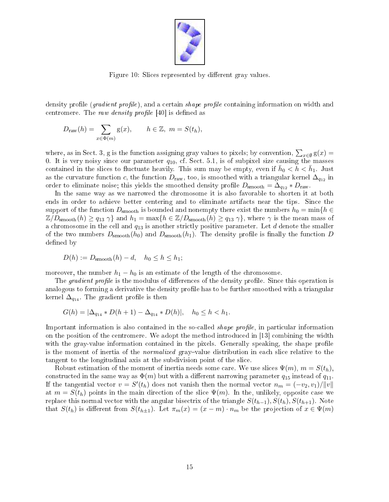

Figure 10: Slices represented by different gray values.

density profile (*gradient profile*), and a certain *shape profile* containing information on width and centromere. The raw density profile  $[40]$  is defined as

$$
Draw(h) = \sum_{x \in \Phi(m)} g(x), \qquad h \in \mathbb{Z}, \ m = S(t_h),
$$

where, as in Sect. 3, g is the function assigning gray values to pixels; by convention,  $\sum_{x\in\emptyset} \mathrm{g}(x) =$ 0. It is very noisy since our parameter  $q_{10}$ , cf. Sect. 5.1, is of subpixel size causing the masses contained in the slices to fluctuate heavily. This sum may be empty, even if  $\bar{h}_0 < \bar{h} < \bar{h}_1$ . Just as the curvature function c, the function  $D_{\text{raw}}$ , too, is smoothed with a triangular kernel  $\Delta_{q_{12}}$  in order to eliminate noise; this yields the smoothed density profile  $D_{\rm smooth} = \Delta_{q_{12}} * D_{\rm raw}$ .

In the same way as we narrowed the chromosome it is also favorable to shorten it at both ends in order to achieve better centering and to eliminate artifacts near the tips. Since the support of the function  $D_{\rm smooth}$  is bounded and nonempty there exist the numbers  $h_0 = \min\{h \in$  $\mathbb{Z}/D_{\rm smooth}(h) \geq q_{13} \gamma$  and  $h_1 = \max\{h \in \mathbb{Z}/D_{\rm smooth}(h) \geq q_{13} \gamma\}$ , where  $\gamma$  is the mean mass of a chromosome in the cell and  $q_{13}$  is another strictly positive parameter. Let  $d$  denote the smaller of the two numbers  $D_{\rm smooth}(h_0)$  and  $D_{\rm smooth}(h_1)$ . The density profile is finally the function D defined by

$$
D(h) := D_{\text{smooth}}(h) - d, \quad h_0 \le h \le h_1;
$$

moreover, the number  $h_1 - h_0$  is an estimate of the length of the chromosome.

The *gradient profile* is the modulus of differences of the density profile. Since this operation is analogous to forming a derivative the density profile has to be further smoothed with a triangular kernel  $\Delta_{q_{14}}$ . The gradient profile is then

$$
G(h) = |\Delta_{q_{14}} * D(h+1) - \Delta_{q_{14}} * D(h)|, \quad h_0 \le h < h_1.
$$

Important information is also contained in the so-called *shape profile*, in particular information on the position of the centromere. We adopt the method introduced in  $[13]$  combining the width with the gray-value information contained in the pixels. Generally speaking, the shape profile is the moment of inertia of the *normalized* gray-value distribution in each slice relative to the tangent to the longitudinal axis at the subdivision point of the sli
e.

Robust estimation of the moment of inertia needs some care. We use slices  $\Psi(m)$ ,  $m = S(t_h)$ , constructed in the same way as  $\Phi(m)$  but with a different narrowing parameter  $q_{15}$  instead of  $q_{11}$ . If the tangential vector  $v = S'(t_h)$  does not vanish then the normal vector  $n_m = (-v_2, v_1) / ||v||$ at  $m = S(t_h)$  points in the main direction of the slice  $\Psi(m)$ . In the, unlikely, opposite case we replace this normal vector with the angular bisectrix of the triangle  $S(t_{h-1}), S(t_h), S(t_{h+1})$ . Note that  $S(t_h)$  is different from  $S(t_{h+1})$ . Let  $\pi_m(x) = (x - m) \cdot n_m$  be the projection of  $x \in \Psi(m)$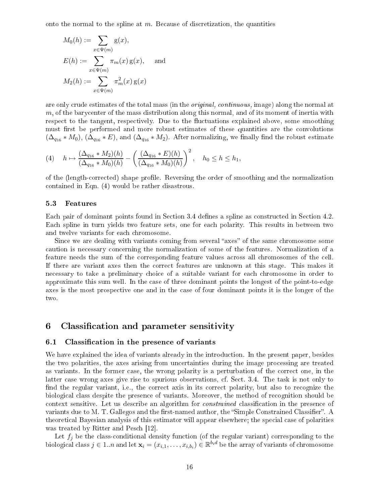onto the normal to the spline at  $m$ . Because of discretization, the quantities

$$
M_0(h) := \sum_{x \in \Psi(m)} g(x),
$$
  
\n
$$
E(h) := \sum_{x \in \Psi(m)} \pi_m(x) g(x),
$$
 and  
\n
$$
M_2(h) := \sum_{x \in \Psi(m)} \pi_m^2(x) g(x)
$$

are only crude estimates of the total mass (in the *original, continuous*, image) along the normal at m, of the barycenter of the mass distribution along this normal, and of its moment of inertia with respect to the tangent, respectively. Due to the fluctuations explained above, some smoothing must first be performed and more robust estimates of these quantities are the convolutions  $(\Delta_{q_{16}} * M_0)$ ,  $(\Delta_{q_{16}} * E)$ , and  $(\Delta_{q_{16}} * M_2)$ . After normalizing, we finally find the robust estimate

$$
(4) \quad h \mapsto \frac{(\Delta_{q_{16}} * M_2)(h)}{(\Delta_{q_{16}} * M_0)(h)} - \left(\frac{(\Delta_{q_{16}} * E)(h)}{(\Delta_{q_{16}} * M_0)(h)}\right)^2, \quad h_0 \le h \le h_1,
$$

of the (length-corrected) shape profile. Reversing the order of smoothing and the normalization ontained in Eqn. (4) would be rather disastrous.

#### 5.3Features

Each pair of dominant points found in Section 3.4 defines a spline as constructed in Section 4.2. Each spline in turn yields two feature sets, one for each polarity. This results in between two and twelve variants for ea
h hromosome.

Since we are dealing with variants coming from several "axes" of the same chromosome some aution is ne
essary on
erning the normalization of some of the features. Normalization of a feature needs the sum of the corresponding feature values across all chromosomes of the cell. If there are variant axes then the orre
t features are unknown at this stage. This makes it ne
essary to take a preliminary hoi
e of a suitable variant for ea
h hromosome in order to approximate this sum well. In the ase of three dominant points the longest of the point-to-edge axes is the most prospe
tive one and in the ase of four dominant points it is the longer of the two.

# 6 Classification and parameter sensitivity

### 6.1Classification in the presence of variants

We have explained the idea of variants already in the introduction. In the present paper, besides the two polarities, the axes arising from un
ertainties during the image pro
essing are treated as variants. In the former case, the wrong polarity is a perturbation of the correct one, in the latter case wrong axes give rise to spurious observations, cf. Sect. 3.4. The task is not only to find the regular variant, i.e., the correct axis in its correct polarity, but also to recognize the biologi
al lass despite the presen
e of variants. Moreover, the method of re
ognition should be context sensitive. Let us describe an algorithm for *constrained* classification in the presence of variants due to M. T. Gallegos and the first-named author, the "Simple Constrained Classifier". A theoretical Bayesian analysis of this estimator will appear elsewhere; the special case of polarities was treated by Ritter and Pesch [12].

Let  $f_i$  be the class-conditional density function (of the regular variant) corresponding to the biological class  $j \in 1..n$  and let  $\mathbf{x}_i = (x_{i,1}, \ldots, x_{i,b_i}) \in \mathbb{R}^{b_i d}$  be the array of variants of chromosome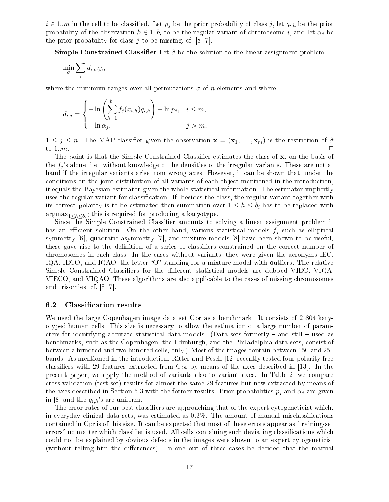$i \in 1..m$  in the cell to be classified. Let  $p_i$  be the prior probability of class j, let  $q_{i,h}$  be the prior probability of the observation  $h \in 1..b_i$  to be the regular variant of chromosome i, and let  $\alpha_j$  be the prior probability for class  $j$  to be missing, cf.  $[8, 7]$ .

**Simple Constrained Classifier** Let  $\hat{\sigma}$  be the solution to the linear assignment problem

$$
\min_{\sigma} \sum_{i} d_{i,\sigma(i)},
$$

where the minimum ranges over all permutations  $\sigma$  of n elements and where

$$
d_{i,j} = \begin{cases} -\ln\left(\sum_{h=1}^{b_i} f_j(x_{i,h})q_{i,h}\right) - \ln p_j, & i \leq m, \\ -\ln \alpha_j, & j > m, \end{cases}
$$

 $1 \leq j \leq n$ . The MAP-classifier given the observation  $\mathbf{x} = (\mathbf{x}_1, \dots, \mathbf{x}_m)$  is the restriction of  $\hat{\sigma}$ to  $1..m$ .

The point is that the Simple Constrained Classifier estimates the class of  $\mathbf{x}_i$  on the basis of the  $f_i$ 's alone, i.e., without knowledge of the densities of the irregular variants. These are not at hand if the irregular variants arise from wrong axes. However, it an be shown that, under the conditions on the joint distribution of all variants of each object mentioned in the introduction. it equals the Bayesian estimator given the whole statistical information. The estimator implicitly uses the regular variant for lassi
ation. If, besides the lass, the regular variant together with its correct polarity is to be estimated then summation over  $1 \leq h \leq b_i$  has to be replaced with  $\mathrm{argmax}_{1 \leq h \leq b_i}$ ; this is required for producing a karyotype.

Since the Simple Constrained Classifier amounts to solving a linear assignment problem it has an efficient solution. On the other hand, various statistical models  $f_i$  such as elliptical symmetry  $[6]$ , quadratic asymmetry  $[7]$ , and mixture models  $[8]$  have been shown to be useful; these gave rise to the definition of a series of classifiers constrained on the correct number of chromosomes in each class. In the cases without variants, they were given the acronyms IEC. IQA, IECO, and IQAO, the letter "O" standing for a mixture model with outliers. The relative Simple Constrained Classifiers for the different statistical models are dubbed VIEC, VIQA. VIECO, and VIQAO. These algorithms are also appli
able to the ases of missing hromosomes and trisomies, cf. [8, 7].

### 6.2Classification results

We used the large Copenhagen image data set Cpr as a benchmark. It consists of 2 804 karyotyped human ells. This size is ne
essary to allow the estimation of a large number of parameters for identifying accurate statistical data models. (Data sets formerly  $-$  and still  $-$  used as ben
hmarks, su
h as the Copenhagen, the Edinburgh, and the Philadelphia data sets, onsist of between a hundred and two hundred ells, only.) Most of the images ontain between 150 and 250 bands. As mentioned in the introduction, Ritter and Pesch [12] recently tested four polarity-free classifiers with 29 features extracted from Cpr by means of the axes described in [13]. In the present paper, we apply the method of variants also to variant axes. In Table 2, we ompare cross-validation (test-set) results for almost the same 29 features but now extracted by means of the axes described in Section 5.3 with the former results. Prior probabilities  $p_j$  and  $\alpha_j$  are given in [8] and the  $q_{i,h}$ 's are uniform.

The error rates of our best classifiers are approaching that of the expert cytogeneticist which, in everyday clinical data sets, was estimated as  $0.3\%$ . The amount of manual misclassifications contained in Cpr is of this size. It can be expected that most of these errors appear as "training-set" errors" no matter which classifier is used. All cells containing such deviating classifications which could not be explained by obvious defects in the images were shown to an expert cytogeneticist (without telling him the differences). In one out of three cases he decided that the manual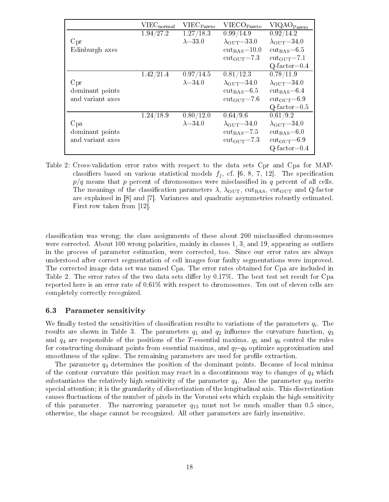|                  | $VIEC_{normal}$ | VIEC <sub>Pareto</sub> | VIECO <sub>Pareto</sub>          | VIQAO <sub>Pareto</sub>        |
|------------------|-----------------|------------------------|----------------------------------|--------------------------------|
|                  | 1.94/27.2       | 1.27/18.3              | 0.99/14.9                        | 0.92/14.2                      |
| Cpr              |                 | $\lambda = 33.0$       | $\lambda_{\text{OUT}}=33.0$      | $\lambda_{\text{OUT}} = 34.0$  |
| Edinburgh axes   |                 |                        | $\text{cut}_{\text{BAS}} = 10.0$ | $cut_{BAS} = 6.5$              |
|                  |                 |                        | $cut_{\rm OUT}=7.3$              | $cut_{\rm OUT}=7.1$            |
|                  |                 |                        |                                  | $Q$ -factor= $0.4$             |
|                  | 1.42/21.4       | 0.97/14.5              | 0.81/12.3                        | 0.78/11.9                      |
| Cpr              |                 | $\lambda = 34.0$       | $\lambda_{\text{OUT}}=34.0$      | $\lambda_{\text{OUT}}=34.0$    |
| dominant points  |                 |                        | $\text{cut}_{\text{BAS}}$ =6.5   | $\text{cut}_{\text{BAS}}$ =6.4 |
| and variant axes |                 |                        | $cut_{\text{OIII}}=7.6$          | $cut_{\rm OUT}=6.9$            |
|                  |                 |                        |                                  | $Q$ -factor= $0.5$             |
|                  | 1.24/18.9       | 0.80/12.0              | 0.64/9.6                         | 0.61/9.2                       |
| Cpa              |                 | $\lambda = 34.0$       | $\lambda_{\text{OUT}}=34.0$      | $\lambda_{\text{OUT}} = 34.0$  |
| dominant points  |                 |                        | $cut_{\rm BAS}=7.5$              | $cut_{BAS}=6.0$                |
| and variant axes |                 |                        | $cut_{\rm OUT}=7.3$              | $cut_{\rm OUT}=6.9$            |
|                  |                 |                        |                                  | $Q$ -factor= $0.4$             |

Table 2: Cross-validation error rates with respe
t to the data sets Cpr and Cpa for MAP classifiers based on various statistical models  $f_j$ , cf. [6, 8, 7, 12]. The specification  $p/q$  means that p percent of chromosomes were misclassified in q percent of all cells. The meanings of the classification parameters  $\lambda$ ,  $\lambda_{\text{OUT}}$ , cut<sub>BAS</sub>, cut<sub>OUT</sub> and Q-factor are explained in [8] and [7]. Variances and quadratic asymmetries robustly estimated. First row taken from  $[12]$ .

classification was wrong; the class assignments of these about 200 misclassified chromosomes were corrected. About 100 wrong polarities, mainly in classes 1, 3, and 19, appearing as outliers in the pro
ess of parameter estimation, were orre
ted, too. Sin
e our error rates are always understood after orre
t segmentation of ell images four faulty segmentations were improved. The corrected image data set was named Cpa. The error rates obtained for Cpa are included in Table 2. The error rates of the two data sets differ by  $0.17\%$ . The best test set result for Cpa reported here is an error rate of  $0.61\%$  with respect to chromosomes. Ten out of eleven cells are completely correctly recognized.

# 6.3Parameter sensitivity

We finally tested the sensitivities of classification results to variations of the parameters  $q_i$ . The results are shown in Table 3. The parameters  $q_1$  and  $q_2$  influence the curvature function,  $q_3$ and  $q_4$  are responsible of the positions of the T-essential maxima,  $q_5$  and  $q_6$  control the rules for constructing dominant points from essential maxima, and  $q_7-q_9$  optimize approximation and smoothness of the spline. The remaining parameters are used for profile extraction.

The parameter  $q_4$  determines the position of the dominant points. Because of local minima of the contour curvature this position may react in a discontinuous way to changes of  $q_4$  which substantiates the relatively high sensitivity of the parameter  $q_4$ . Also the parameter  $q_{10}$  merits spe
ial attention; it is the granularity of dis
retization of the longitudinal axis. This dis
retization causes fluctuations of the number of pixels in the Voronoi sets which explain the high sensitivity of this parameter. The narrowing parameter  $q_{15}$  must not be much smaller than 0.5 since, otherwise, the shape annot be re
ognized. All other parameters are fairly insensitive.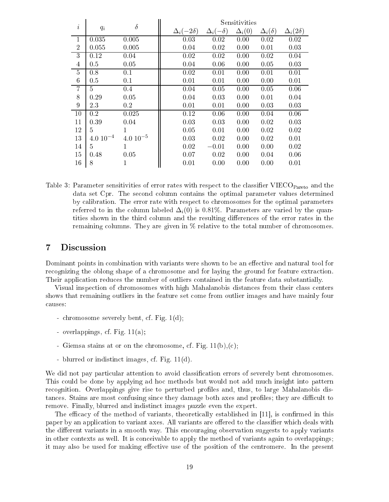|                |                  | $\delta$     | Sensitivities        |                     |               |                    |                     |
|----------------|------------------|--------------|----------------------|---------------------|---------------|--------------------|---------------------|
| i              | $q_i$            |              | $\Delta_i(-2\delta)$ | $\Delta_i(-\delta)$ | $\Delta_i(0)$ | $\Delta_i(\delta)$ | $\Delta_i(2\delta)$ |
| $\mathbf{1}$   | 0.035            | 0.005        | 0.03                 | 0.02                | 0.00          | 0.02               | 0.02                |
| $\overline{2}$ | 0.055            | 0.005        | 0.04                 | 0.02                | 0.00          | 0.01               | 0.03                |
| 3              | 0.12             | 0.04         | 0.02                 | 0.02                | 0.00          | $0.02\,$           | 0.04                |
| $\overline{4}$ | 0.5              | 0.05         | 0.04                 | 0.06                | 0.00          | 0.05               | 0.03                |
| 5              | 0.8              | 0.1          | 0.02                 | 0.01                | 0.00          | 0.01               | 0.01                |
| 6              | 0.5              | 0.1          | 0.01                 | 0.01                | 0.00          | 0.00               | 0.01                |
| 7              | $5^{\circ}$      | 0.4          | 0.04                 | 0.05                | 0.00          | 0.05               | 0.06                |
| 8              | 0.29             | 0.05         | 0.04                 | 0.03                | 0.00          | 0.01               | 0.04                |
| 9              | 2.3              | $0.2\,$      | 0.01                 | 0.01                | 0.00          | 0.03               | 0.03                |
| 10             | $\overline{0.2}$ | 0.025        | 0.12                 | 0.06                | 0.00          | 0.04               | 0.06                |
| 11             | 0.39             | 0.04         | 0.03                 | 0.03                | 0.00          | 0.02               | 0.03                |
| 12             | 5                |              | 0.05                 | 0.01                | 0.00          | 0.02               | 0.02                |
| 13             | $4.0 10^{-4}$    | $4.010^{-5}$ | 0.03                 | 0.02                | 0.00          | 0.02               | 0.01                |
| 14             | 5                | 1            | 0.02                 | $-0.01$             | 0.00          | 0.00               | 0.02                |
| 15             | 0.48             | 0.05         | 0.07                 | 0.02                | 0.00          | 0.04               | 0.06                |
| 16             | 8                |              | 0.01                 | 0.00                | 0.00          | 0.00               | 0.01                |

Table 3: Parameter sensitivities of error rates with respect to the classifier VIECO<sub>Pareto</sub> and the data set Cpr. The se
ond olumn ontains the optimal parameter values determined by alibration. The error rate with respe
t to hromosomes for the optimal parameters referred to in the column labeled  $\Delta_i(0)$  is 0.81%. Parameters are varied by the quantities shown in the third column and the resulting differences of the error rates in the remaining columns. They are given in % relative to the total number of chromosomes.

# 7 Dis
ussion

Dominant points in combination with variants were shown to be an effective and natural tool for recognizing the oblong shape of a chromosome and for laying the ground for feature extraction. Their application reduces the number of outliers contained in the feature data substantially.

Visual inspection of chromosomes with high Mahalanobis distances from their class centers shows that remaining outliers in the feature set ome from outlier images and have mainly four auses:

- chromosome severely bent, cf. Fig. 1(d);
- overlappings, f. Fig. 11(a);
- Giemsa stains at or on the chromosome, cf. Fig.  $11(b)$ , (c);
- blurred or indistin
t images, f. Fig. 11(d).

We did not pay particular attention to avoid classification errors of severely bent chromosomes. This ould be done by applying ad ho methods but would not add mu
h insight into pattern recognition. Overlappings give rise to perturbed profiles and, thus, to large Mahalanobis distances. Stains are most confusing since they damage both axes and profiles; they are difficult to remove. Finally, blurred and indistin
t images puzzle even the expert.

The efficacy of the method of variants, theoretically established in [11], is confirmed in this paper by an application to variant axes. All variants are offered to the classifier which deals with the different variants in a smooth way. This encouraging observation suggests to apply variants in other contexts as well. It is conceivable to apply the method of variants again to overlappings; it may also be used for making effective use of the position of the centromere. In the present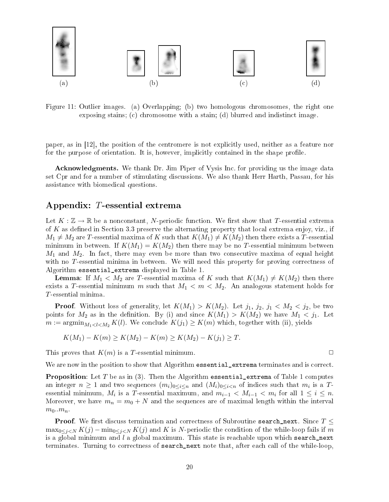

Figure 11: Outlier images. (a) Overlapping; (b) two homologous chromosomes, the right one exposing stains; (c) chromosome with a stain; (d) blurred and indistinct image.

paper, as in  $|12|$ , the position of the centromere is not explicitly used, neither as a feature nor for the purpose of orientation. It is, however, implicitly contained in the shape profile.

Acknowledgments. We thank Dr. Jim Piper of Vysis Inc. for providing us the image data set Cpr and for a number of stimulating dis
ussions. We also thank Herr Harth, Passau, for his assistan
e with biomedi
al questions.

# Appendix: T-essential extrema

Let  $K: \mathbb{Z} \to \mathbb{R}$  be a nonconstant, N-periodic function. We first show that T-essential extrema of K as defined in Section 3.3 preserve the alternating property that local extrema enjoy, viz., if  $M_1 \neq M_2$  are T-essential maxima of K such that  $K(M_1) \neq K(M_2)$  then there exists a T-essential minimum in between. If  $K(M_1) = K(M_2)$  then there may be no T-essential minimum between  $M_1$  and  $M_2$ . In fact, there may even be more than two consecutive maxima of equal height with no  $T$ -essential minima in between. We will need this property for proving correctness of Algorithm essential\_extrema displayed in Table 1.

**Lemma**: If  $M_1 < M_2$  are T-essential maxima of K such that  $K(M_1) \neq K(M_2)$  then there exists a T-essential minimum m such that  $M_1 < m < M_2$ . An analogous statement holds for T -essential minima.

**Proof.** Without loss of generality, let  $K(M_1) > K(M_2)$ . Let  $j_1, j_2, j_1 < M_2 < j_2$ , be two points for  $M_2$  as in the definition. By (i) and since  $K(M_1) > K(M_2)$  we have  $M_1 < j_1$ . Let  $m := \operatorname{argmin}_{M_1 < l < M_2} K(l)$ . We conclude  $K(j_1) \geq K(m)$  which, together with (ii), yields

$$
K(M_1) - K(m) \ge K(M_2) - K(m) \ge K(M_2) - K(j_1) \ge T.
$$

This proves that  $K(m)$  is a T-essential minimum.

We are now in the position to show that Algorithm essential extrema terminates and is correct.

**Proposition**: Let T be as in (3). Then the Algorithm essential extrema of Table 1 computes an integer  $n \ge 1$  and two sequences  $(m_i)_{0 \le i \le n}$  and  $(M_i)_{0 \le i \le n}$  of indices such that  $m_i$  is a  $T$ essential minimum,  $M_i$  is a T-essential maximum, and  $m_{i-1} < M_{i-1} < m_i$  for all  $1 \leq i \leq n$ . Moreover, we have  $m_n = m_0 + N$  and the sequences are of maximal length within the interval  $m_0..m_n$ .

**Proof.** We first discuss termination and correctness of Subroutine search\_next. Since  $T \leq$  $\max_{0 \leq j \leq N} K(j) - \min_{0 \leq j \leq N} K(j)$  and K is N-periodic the condition of the while-loop fails if m is a global minimum and  $l$  a global maximum. This state is reachable upon which search next terminates. Turning to correctness of search\_next note that, after each call of the while-loop.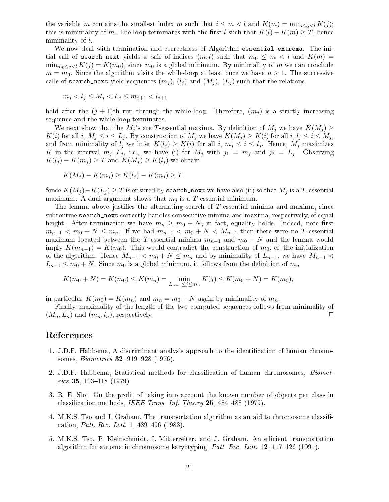the variable m contains the smallest index m such that  $i \leq m < l$  and  $K(m) = \min_{i \leq j \leq l} K(j)$ ; this is minimality of m. The loop terminates with the first l such that  $K(l) - K(m) \geq T$ , hence minimality of l.

We now deal with termination and correctness of Algorithm essential\_extrema. The initial call of search next yields a pair of indices  $(m, l)$  such that  $m_0 \leq m < l$  and  $K(m) =$  $\min_{m_0 \leq j < l} K(j) = K(m_0)$ , since  $m_0$  is a global minimum. By minimality of m we can conclude  $m = m_0$ . Since the algorithm visits the while-loop at least once we have  $n \geq 1$ . The successive calls of search next yield sequences  $(m_i)$ ,  $(l_i)$  and  $(M_i)$ ,  $(L_i)$  such that the relations

$$
m_j < l_j \le M_j < L_j \le m_{j+1} < l_{j+1}
$$

hold after the  $(j + 1)$ th run through the while-loop. Therefore,  $(m<sub>j</sub>)$  is a strictly increasing sequen
e and the while-loop terminates.

We next show that the  $M_i$ 's are T-essential maxima. By definition of  $M_i$  we have  $K(M_i) \geq$  $K(i)$  for all i,  $M_j \le i \le L_j$ . By construction of  $M_j$  we have  $K(M_j) \ge K(i)$  for all i,  $l_j \le i \le M_j$ , and from minimality of  $l_j$  we infer  $K(l_j) \geq K(i)$  for all  $i, m_j \leq i \leq l_j$ . Hence,  $M_j$  maximizes K in the interval  $m_j...L_j$ , i.e., we have (i) for  $M_j$  with  $j_1 = m_j$  and  $j_2 = L_j$ . Observing  $K(l_i) - K(m_i) \geq T$  and  $K(M_i) \geq K(l_i)$  we obtain

$$
K(M_j) - K(m_j) \ge K(l_j) - K(m_j) \ge T.
$$

Since  $K(M_j) - K(L_j) \geq T$  is ensured by search\_next we have also (ii) so that  $M_j$  is a T-essential maximum. A dual argument shows that  $m_i$  is a T-essential minimum.

The lemma above justifies the alternating search of  $T$ -essential minima and maxima, since subroutine search\_next correctly handles consecutive minima and maxima, respectively, of equal height. After termination we have  $m_n \geq m_0 + N$ ; in fact, equality holds. Indeed, note first  $m_{n-1} < m_0 + N \leq m_n$ . If we had  $m_{n-1} < m_0 + N < M_{n-1}$  then there were no T-essential maximum located between the T-essential minima  $m_{n-1}$  and  $m_0 + N$  and the lemma would imply  $K(m_{n-1}) = K(m_0)$ . This would contradict the construction of  $m_0$ , cf. the initialization of the algorithm. Hence  $M_{n-1} < m_0 + N \leq m_n$  and by minimality of  $L_{n-1}$ , we have  $M_{n-1} <$  $L_{n-1} \leq m_0 + N$ . Since  $m_0$  is a global minimum, it follows from the definition of  $m_n$ 

$$
K(m_0 + N) = K(m_0) \le K(m_n) = \min_{L_{n-1} \le j \le m_n} K(j) \le K(m_0 + N) = K(m_0),
$$

in particular  $K(m_0) = K(m_n)$  and  $m_n = m_0 + N$  again by minimality of  $m_n$ .

Finally, maximality of the length of the two omputed sequen
es follows from minimality of  $(M_n, L_n)$  and  $(m_n, l_n)$ , respectively.

# Referen
es

- 1. J.D.F. Habbema, A discriminant analysis approach to the identification of human chromosomes, *Biometrics* **32**, 919–928 (1976).
- 2. J.D.F. Habbema, Statistical methods for classification of human chromosomes, Biometrics 35, 103-118  $(1979)$ .
- 3. R. E. Slot, On the profit of taking into account the known number of objects per class in classification methods, IEEE Trans. Inf. Theory  $25,484-488$  (1979).
- 4. M.K.S. Tso and J. Graham, The transportation algorithm as an aid to chromosome classification, *Patt. Rec. Lett.* 1,  $489-496$  (1983).
- 5. M.K.S. Tso, P. Kleinschmidt, I. Mitterreiter, and J. Graham, An efficient transportation algorithm for automatic chromosome karyotyping, *Patt. Rec. Lett.* 12, 117–126 (1991).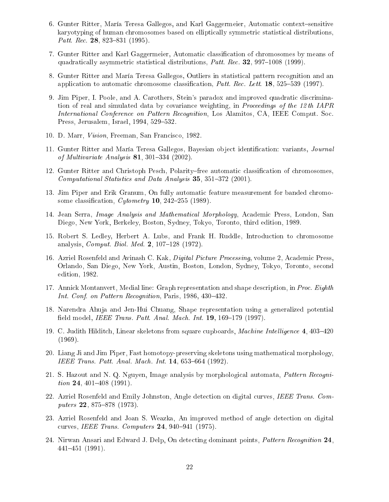- 6. Gunter Ritter, María Teresa Gallegos, and Karl Gaggermeier, Automatic context-sensitive karyotyping of human chromosomes based on elliptically symmetric statistical distributions. Patt. Rec. 28, 823-831 (1995).
- 7. Gunter Ritter and Karl Gaggermeier, Automati lassi
ation of hromosomes by means of quadratically asymmetric statistical distributions, *Patt. Rec.* **32**, 997-1008 (1999).
- 8. Gunter Ritter and María Teresa Gallegos, Outliers in statisti
al pattern re
ognition and an application to automatic chromosome classification, *Patt. Rec. Lett.* 18, 525–539 (1997).
- 9. Jim Piper, I. Poole, and A. Carothers, Stein's paradox and improved quadratic discrimination of real and simulated data by covariance weighting, in *Proceedings of the 12th IAPR* International Conference on Pattern Recognition, Los Alamitos, CA, IEEE Comput. Soc. Press, Jerusalem, Israel, 1994, 529-532.
- 10. D. Marr, Vision, Freeman, San Fran
is
o, 1982.
- 11. Gunter Ritter and María Teresa Gallegos, Bayesian object identification: variants, Journal of Multivariate Analysis  $81, 301-334$  (2002).
- 12. Gunter Ritter and Christoph Pesch, Polarity–free automatic classification of chromosomes. Computational Statistics and Data Analysis 35, 351-372 (2001).
- 13. Jim Piper and Erik Granum, On fully automati feature measurement for banded hromosome classification,  $Cytometry$  **10**, 242–255 (1989).
- 14. Jean Serra, *Image Analysis and Mathematical Morphology*, Academic Press, London, San Diego, New York, Berkeley, Boston, Sydney, Tokyo, Toronto, third edition, 1989.
- 15. Robert S. Ledley, Herbert A. Lubs, and Frank H. Ruddle, Introduction to chromosome analysis,  $Comput. Biol. Med. 2, 107-128 (1972).$
- 16. Azriel Rosenfeld and Avinash C. Kak, *Digital Picture Processing*, volume 2, Academic Press, Orlando, San Diego, New York, Austin, Boston, London, Sydney, Tokyo, Toronto, se
ond edition, 1982.
- 17. Annick Montanvert, Medial line: Graph representation and shape description, in Proc. Eighth Int. Conf. on Pattern Recognition, Paris, 1986, 430-432.
- 18. Narendra Ahuja and Jen-Hui Chuang, Shape representation using a generalized potential field model, *IEEE Trans. Patt. Anal. Mach. Int.* **19**, 169–179 (1997).
- 19. C. Judith Hilditch, Linear skeletons from square cupboards, Machine Intelligence 4, 403-420 (1969).
- 20. Liang Ji and Jim Piper, Fast homotopy-preserving skeletons using mathemati
al morphology, IEEE Trans. Patt. Anal. Mach. Int. 14, 653-664 (1992).
- 21. S. Hazout and N. Q. Nguyen, Image analysis by morphological automata, *Pattern Recognition* 24, 401–408 (1991).
- 22. Azriel Rosenfeld and Emily Johnston, Angle detection on digital curves, IEEE Trans. Computers  $22, 875 - 878$  (1973).
- 23. Azriel Rosenfeld and Joan S. Weazka, An improved method of angle dete
tion on digital curves, IEEE Trans. Computers  $24, 940-941$  (1975).
- 24. Nirwan Ansari and Edward J. Delp, On detecting dominant points, Pattern Recognition 24, 441451 (1991).